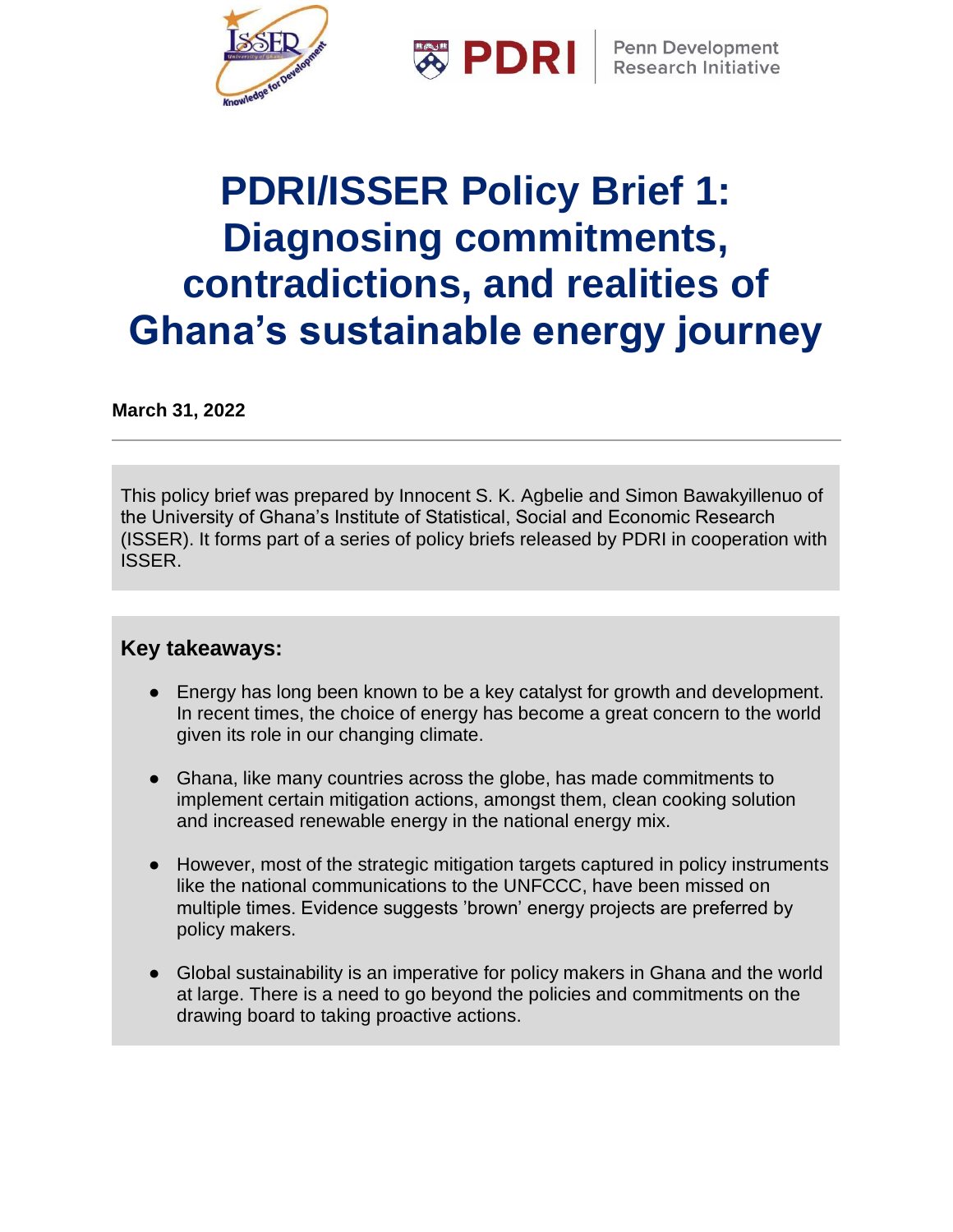

**※ PDRI** 

**Penn Development Research Initiative** 

# **PDRI/ISSER Policy Brief 1: Diagnosing commitments, contradictions, and realities of Ghana's sustainable energy journey**

**March 31, 2022**

This policy brief was prepared by Innocent S. K. Agbelie and Simon Bawakyillenuo of the University of Ghana's Institute of Statistical, Social and Economic Research (ISSER). It forms part of a series of policy briefs released by PDRI in cooperation with ISSER.

#### **Key takeaways:**

- Energy has long been known to be a key catalyst for growth and development. In recent times, the choice of energy has become a great concern to the world given its role in our changing climate.
- Ghana, like many countries across the globe, has made commitments to implement certain mitigation actions, amongst them, clean cooking solution and increased renewable energy in the national energy mix.
- However, most of the strategic mitigation targets captured in policy instruments like the national communications to the UNFCCC, have been missed on multiple times. Evidence suggests 'brown' energy projects are preferred by policy makers.
- Global sustainability is an imperative for policy makers in Ghana and the world at large. There is a need to go beyond the policies and commitments on the drawing board to taking proactive actions.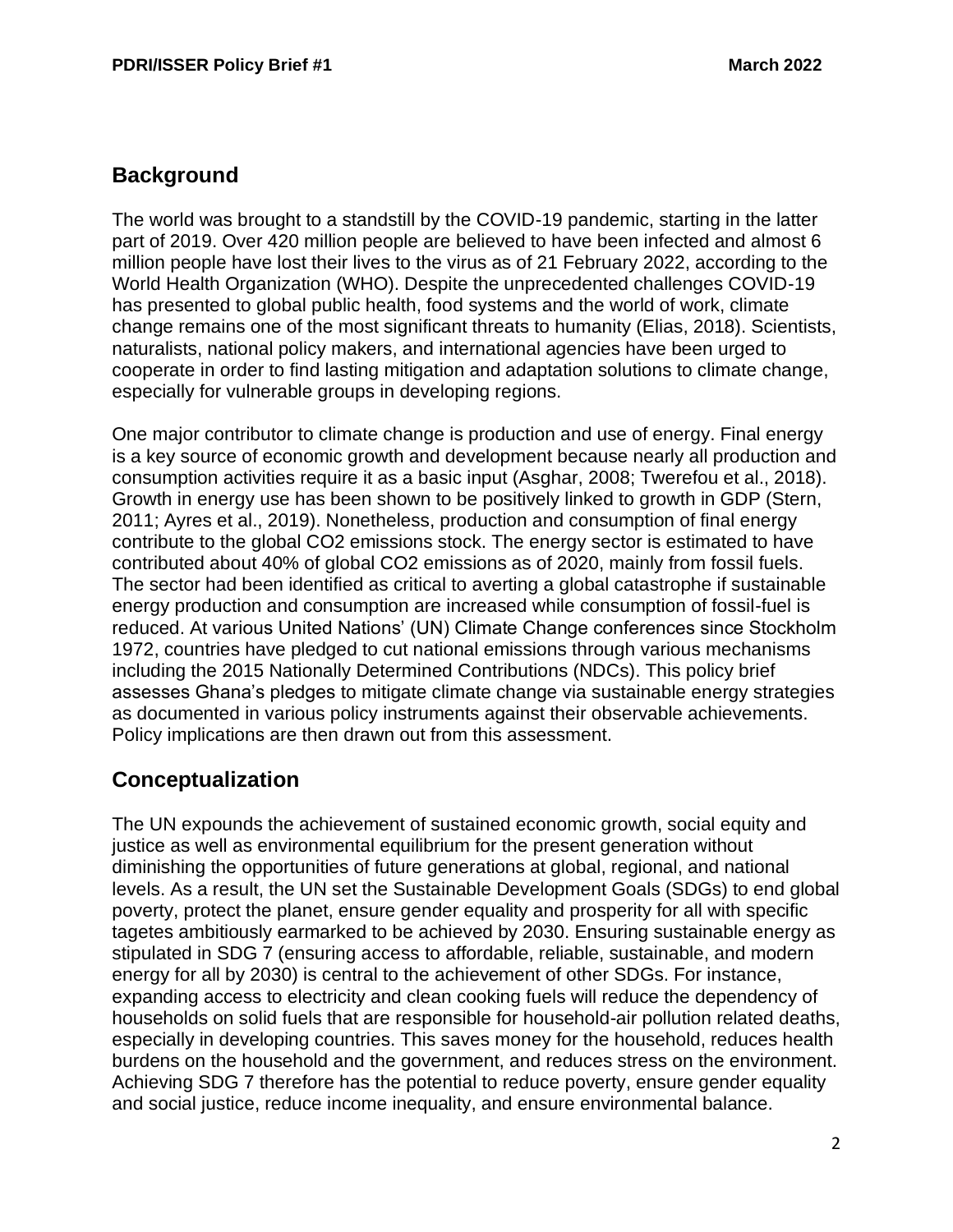# **Background**

The world was brought to a standstill by the COVID-19 pandemic, starting in the latter part of 2019. Over 420 million people are believed to have been infected and almost 6 million people have lost their lives to the virus as of 21 February 2022, according to the World Health Organization (WHO). Despite the unprecedented challenges COVID-19 has presented to global public health, food systems and the world of work, climate change remains one of the most significant threats to humanity (Elias, 2018). Scientists, naturalists, national policy makers, and international agencies have been urged to cooperate in order to find lasting mitigation and adaptation solutions to climate change, especially for vulnerable groups in developing regions.

One major contributor to climate change is production and use of energy. Final energy is a key source of economic growth and development because nearly all production and consumption activities require it as a basic input (Asghar, 2008; Twerefou et al., 2018). Growth in energy use has been shown to be positively linked to growth in GDP (Stern, 2011; Ayres et al., 2019). Nonetheless, production and consumption of final energy contribute to the global CO2 emissions stock. The energy sector is estimated to have contributed about 40% of global CO2 emissions as of 2020, mainly from fossil fuels. The sector had been identified as critical to averting a global catastrophe if sustainable energy production and consumption are increased while consumption of fossil-fuel is reduced. At various United Nations' (UN) Climate Change conferences since Stockholm 1972, countries have pledged to cut national emissions through various mechanisms including the 2015 Nationally Determined Contributions (NDCs). This policy brief assesses Ghana's pledges to mitigate climate change via sustainable energy strategies as documented in various policy instruments against their observable achievements. Policy implications are then drawn out from this assessment.

# **Conceptualization**

The UN expounds the achievement of sustained economic growth, social equity and justice as well as environmental equilibrium for the present generation without diminishing the opportunities of future generations at global, regional, and national levels. As a result, the UN set the Sustainable Development Goals (SDGs) to end global poverty, protect the planet, ensure gender equality and prosperity for all with specific tagetes ambitiously earmarked to be achieved by 2030. Ensuring sustainable energy as stipulated in SDG 7 (ensuring access to affordable, reliable, sustainable, and modern energy for all by 2030) is central to the achievement of other SDGs. For instance, expanding access to electricity and clean cooking fuels will reduce the dependency of households on solid fuels that are responsible for household-air pollution related deaths, especially in developing countries. This saves money for the household, reduces health burdens on the household and the government, and reduces stress on the environment. Achieving SDG 7 therefore has the potential to reduce poverty, ensure gender equality and social justice, reduce income inequality, and ensure environmental balance.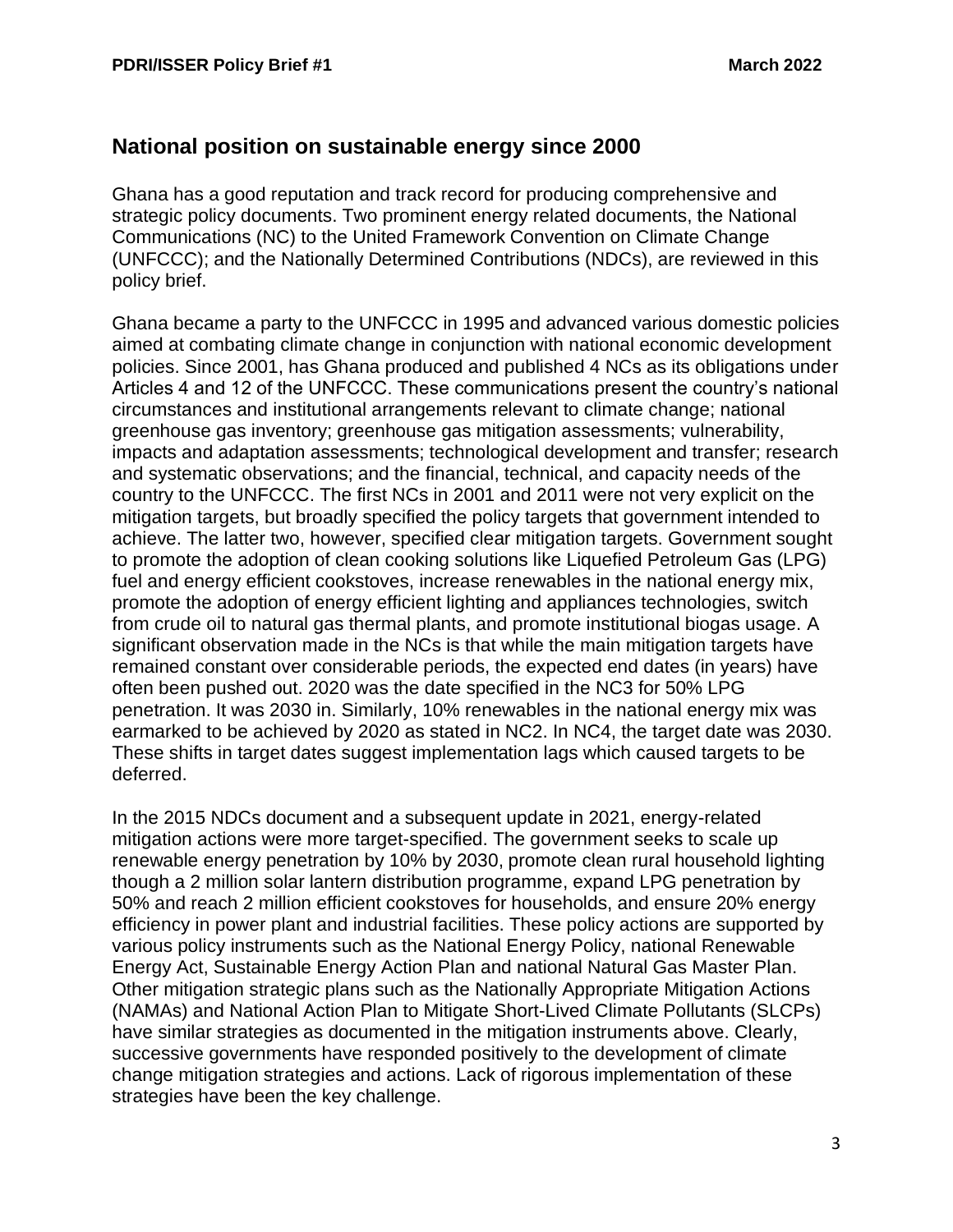#### **National position on sustainable energy since 2000**

Ghana has a good reputation and track record for producing comprehensive and strategic policy documents. Two prominent energy related documents, the National Communications (NC) to the United Framework Convention on Climate Change (UNFCCC); and the Nationally Determined Contributions (NDCs), are reviewed in this policy brief.

Ghana became a party to the UNFCCC in 1995 and advanced various domestic policies aimed at combating climate change in conjunction with national economic development policies. Since 2001, has Ghana produced and published 4 NCs as its obligations under Articles 4 and 12 of the UNFCCC. These communications present the country's national circumstances and institutional arrangements relevant to climate change; national greenhouse gas inventory; greenhouse gas mitigation assessments; vulnerability, impacts and adaptation assessments; technological development and transfer; research and systematic observations; and the financial, technical, and capacity needs of the country to the UNFCCC. The first NCs in 2001 and 2011 were not very explicit on the mitigation targets, but broadly specified the policy targets that government intended to achieve. The latter two, however, specified clear mitigation targets. Government sought to promote the adoption of clean cooking solutions like Liquefied Petroleum Gas (LPG) fuel and energy efficient cookstoves, increase renewables in the national energy mix, promote the adoption of energy efficient lighting and appliances technologies, switch from crude oil to natural gas thermal plants, and promote institutional biogas usage. A significant observation made in the NCs is that while the main mitigation targets have remained constant over considerable periods, the expected end dates (in years) have often been pushed out. 2020 was the date specified in the NC3 for 50% LPG penetration. It was 2030 in. Similarly, 10% renewables in the national energy mix was earmarked to be achieved by 2020 as stated in NC2. In NC4, the target date was 2030. These shifts in target dates suggest implementation lags which caused targets to be deferred.

In the 2015 NDCs document and a subsequent update in 2021, energy-related mitigation actions were more target-specified. The government seeks to scale up renewable energy penetration by 10% by 2030, promote clean rural household lighting though a 2 million solar lantern distribution programme, expand LPG penetration by 50% and reach 2 million efficient cookstoves for households, and ensure 20% energy efficiency in power plant and industrial facilities. These policy actions are supported by various policy instruments such as the National Energy Policy, national Renewable Energy Act, Sustainable Energy Action Plan and national Natural Gas Master Plan. Other mitigation strategic plans such as the Nationally Appropriate Mitigation Actions (NAMAs) and National Action Plan to Mitigate Short-Lived Climate Pollutants (SLCPs) have similar strategies as documented in the mitigation instruments above. Clearly, successive governments have responded positively to the development of climate change mitigation strategies and actions. Lack of rigorous implementation of these strategies have been the key challenge.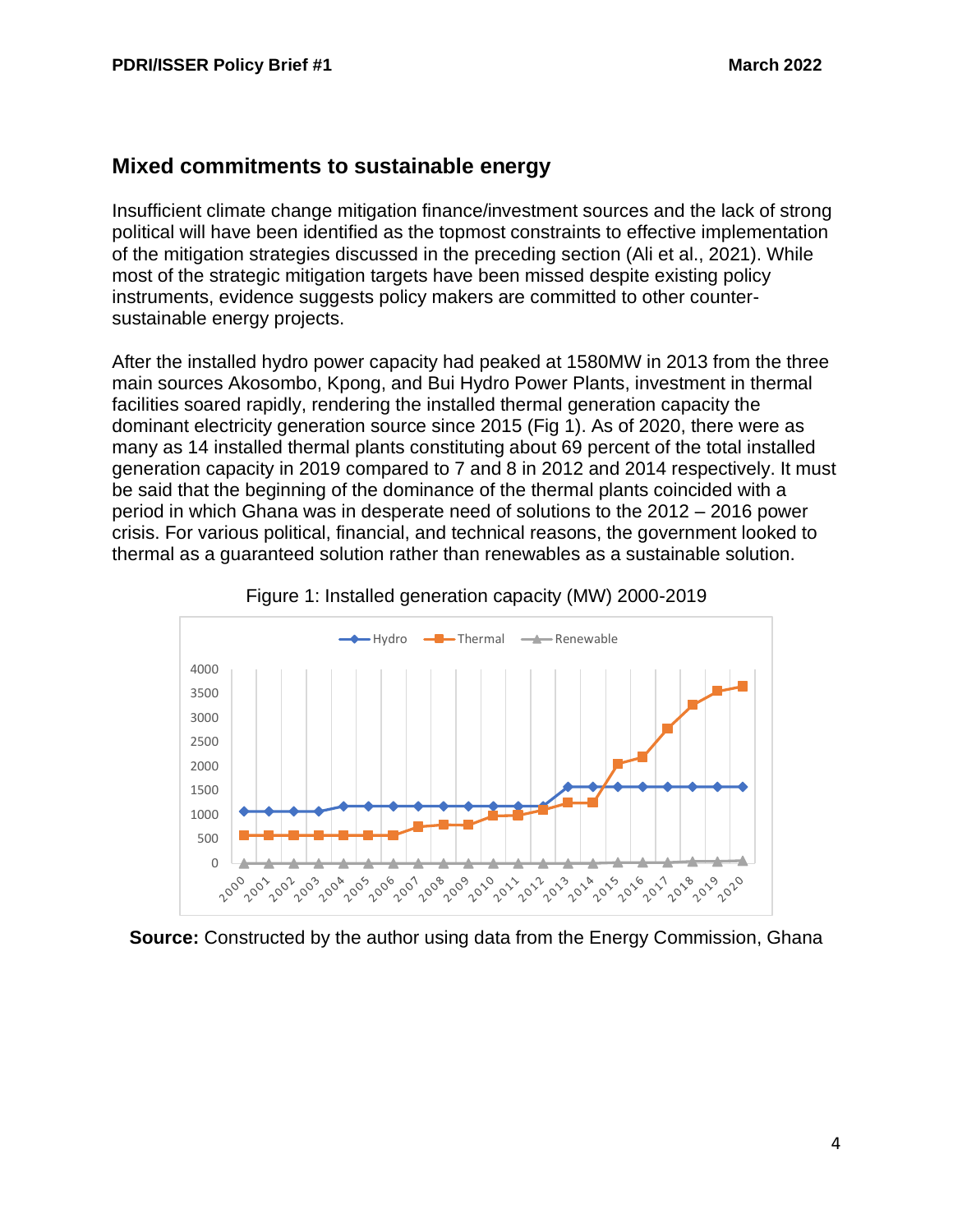#### **Mixed commitments to sustainable energy**

Insufficient climate change mitigation finance/investment sources and the lack of strong political will have been identified as the topmost constraints to effective implementation of the mitigation strategies discussed in the preceding section (Ali et al., 2021). While most of the strategic mitigation targets have been missed despite existing policy instruments, evidence suggests policy makers are committed to other countersustainable energy projects.

After the installed hydro power capacity had peaked at 1580MW in 2013 from the three main sources Akosombo, Kpong, and Bui Hydro Power Plants, investment in thermal facilities soared rapidly, rendering the installed thermal generation capacity the dominant electricity generation source since 2015 (Fig 1). As of 2020, there were as many as 14 installed thermal plants constituting about 69 percent of the total installed generation capacity in 2019 compared to 7 and 8 in 2012 and 2014 respectively. It must be said that the beginning of the dominance of the thermal plants coincided with a period in which Ghana was in desperate need of solutions to the 2012 – 2016 power crisis. For various political, financial, and technical reasons, the government looked to thermal as a guaranteed solution rather than renewables as a sustainable solution.





**Source:** Constructed by the author using data from the Energy Commission, Ghana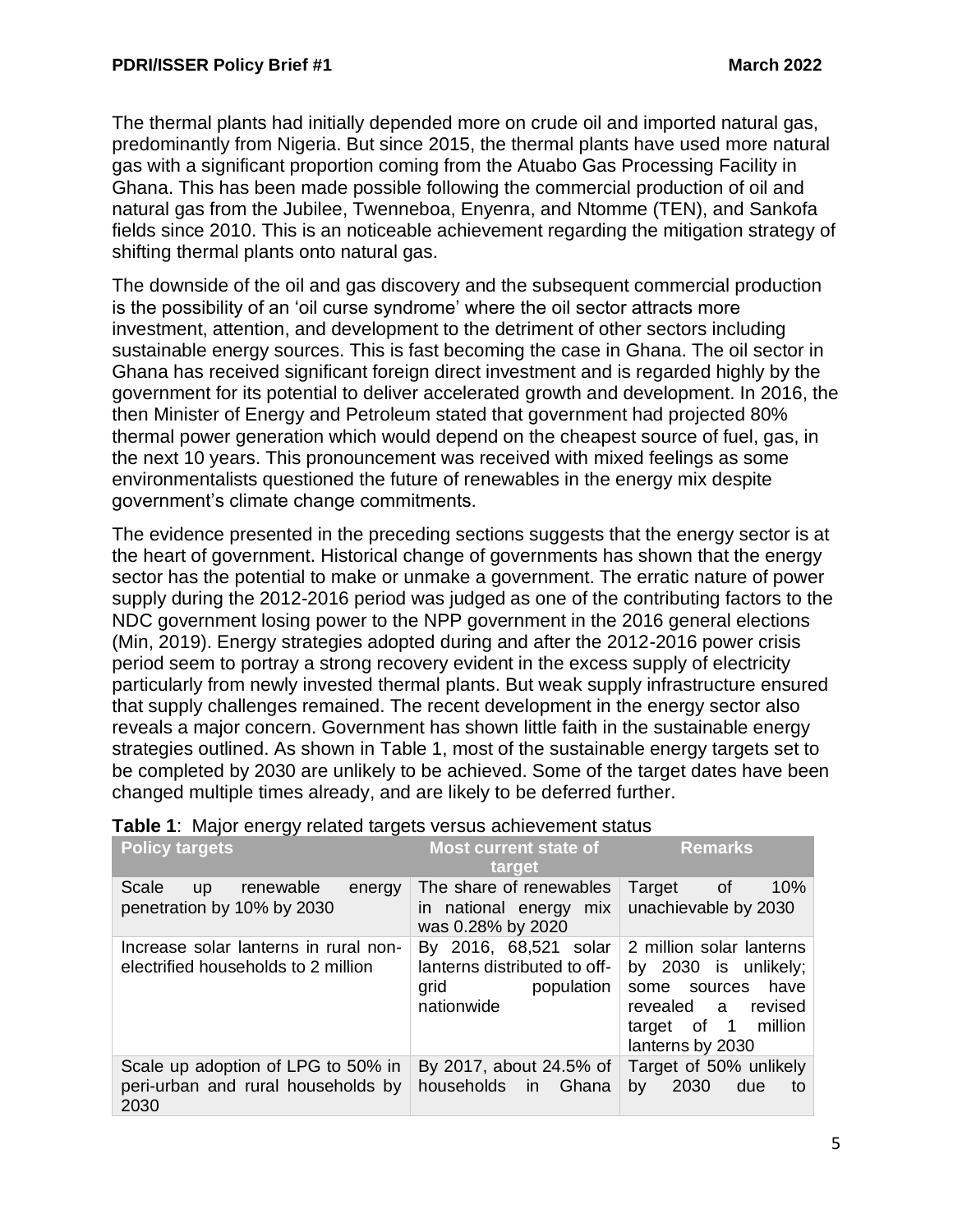The thermal plants had initially depended more on crude oil and imported natural gas, predominantly from Nigeria. But since 2015, the thermal plants have used more natural gas with a significant proportion coming from the Atuabo Gas Processing Facility in Ghana. This has been made possible following the commercial production of oil and natural gas from the Jubilee, Twenneboa, Enyenra, and Ntomme (TEN), and Sankofa fields since 2010. This is an noticeable achievement regarding the mitigation strategy of shifting thermal plants onto natural gas.

The downside of the oil and gas discovery and the subsequent commercial production is the possibility of an 'oil curse syndrome' where the oil sector attracts more investment, attention, and development to the detriment of other sectors including sustainable energy sources. This is fast becoming the case in Ghana. The oil sector in Ghana has received significant foreign direct investment and is regarded highly by the government for its potential to deliver accelerated growth and development. In 2016, the then Minister of Energy and Petroleum stated that government had projected 80% thermal power generation which would depend on the cheapest source of fuel, gas, in the next 10 years. This pronouncement was received with mixed feelings as some environmentalists questioned the future of renewables in the energy mix despite government's climate change commitments.

The evidence presented in the preceding sections suggests that the energy sector is at the heart of government. Historical change of governments has shown that the energy sector has the potential to make or unmake a government. The erratic nature of power supply during the 2012-2016 period was judged as one of the contributing factors to the NDC government losing power to the NPP government in the 2016 general elections (Min, 2019). Energy strategies adopted during and after the 2012-2016 power crisis period seem to portray a strong recovery evident in the excess supply of electricity particularly from newly invested thermal plants. But weak supply infrastructure ensured that supply challenges remained. The recent development in the energy sector also reveals a major concern. Government has shown little faith in the sustainable energy strategies outlined. As shown in Table 1, most of the sustainable energy targets set to be completed by 2030 are unlikely to be achieved. Some of the target dates have been changed multiple times already, and are likely to be deferred further.

| <b>Policy targets</b>                                                            | Most current state of<br>target                                                           | <b>Remarks</b>                                                                                                                               |
|----------------------------------------------------------------------------------|-------------------------------------------------------------------------------------------|----------------------------------------------------------------------------------------------------------------------------------------------|
| Scale<br>up renewable<br>energy<br>penetration by 10% by 2030                    | The share of renewables<br>in national energy mix<br>was 0.28% by 2020                    | 10%<br>Target<br>0f<br>unachievable by 2030                                                                                                  |
| Increase solar lanterns in rural non-<br>electrified households to 2 million     | By 2016, 68,521 solar<br>lanterns distributed to off-<br>population<br>grid<br>nationwide | 2 million solar lanterns<br>by 2030 is unlikely;<br>some sources<br>have<br>revealed a<br>revised<br>target of 1 million<br>lanterns by 2030 |
| Scale up adoption of LPG to 50% in<br>peri-urban and rural households by<br>2030 | By 2017, about 24.5% of<br>households in Ghana                                            | Target of 50% unlikely<br>2030<br>due<br>by<br>to                                                                                            |

| Table 1: Major energy related targets versus achievement status |  |
|-----------------------------------------------------------------|--|
|-----------------------------------------------------------------|--|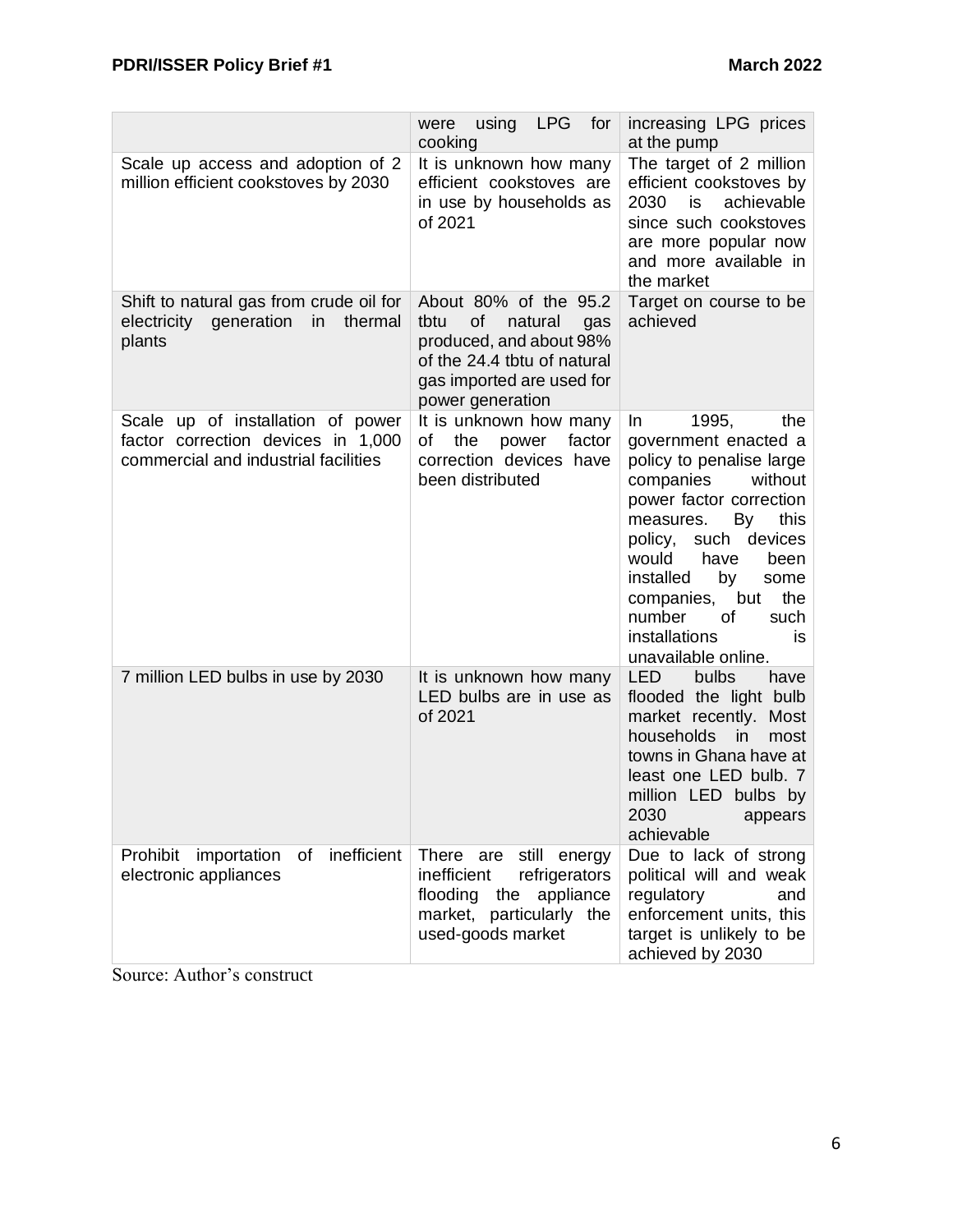|                                                                                                                 | <b>LPG</b><br>for<br>using<br>were<br>cooking                                                                                                                    | increasing LPG prices<br>at the pump                                                                                                                                                                                                                                                                                                      |
|-----------------------------------------------------------------------------------------------------------------|------------------------------------------------------------------------------------------------------------------------------------------------------------------|-------------------------------------------------------------------------------------------------------------------------------------------------------------------------------------------------------------------------------------------------------------------------------------------------------------------------------------------|
| Scale up access and adoption of 2<br>million efficient cookstoves by 2030                                       | It is unknown how many<br>efficient cookstoves are<br>in use by households as<br>of 2021                                                                         | The target of 2 million<br>efficient cookstoves by<br>achievable<br>2030<br>is<br>since such cookstoves<br>are more popular now<br>and more available in<br>the market                                                                                                                                                                    |
| Shift to natural gas from crude oil for<br>electricity<br>generation<br>in<br>thermal<br>plants                 | About 80% of the 95.2<br>tbtu<br>of<br>natural<br>gas<br>produced, and about 98%<br>of the 24.4 tbtu of natural<br>gas imported are used for<br>power generation | Target on course to be<br>achieved                                                                                                                                                                                                                                                                                                        |
| Scale up of installation of power<br>factor correction devices in 1,000<br>commercial and industrial facilities | It is unknown how many<br>οf<br>the<br>power<br>factor<br>correction devices have<br>been distributed                                                            | 1995,<br>In.<br>the<br>government enacted a<br>policy to penalise large<br>companies<br>without<br>power factor correction<br>By<br>this<br>measures.<br>policy,<br>such<br>devices<br>have<br>would<br>been<br>installed<br>by<br>some<br>the<br>companies,<br>but<br>number<br>οf<br>such<br>installations<br>is<br>unavailable online. |
| 7 million LED bulbs in use by 2030                                                                              | It is unknown how many<br>LED bulbs are in use as<br>of 2021                                                                                                     | <b>LED</b><br>bulbs<br>have<br>flooded the light bulb<br>market recently. Most<br>households<br>in<br>most<br>towns in Ghana have at<br>least one LED bulb. 7<br>million LED bulbs by<br>2030<br>appears<br>achievable                                                                                                                    |
| inefficient<br>Prohibit<br>importation<br>of<br>electronic appliances                                           | There are<br>still energy<br>inefficient<br>refrigerators<br>flooding the appliance<br>market, particularly the<br>used-goods market                             | Due to lack of strong<br>political will and weak<br>regulatory<br>and<br>enforcement units, this<br>target is unlikely to be<br>achieved by 2030                                                                                                                                                                                          |

Source: Author's construct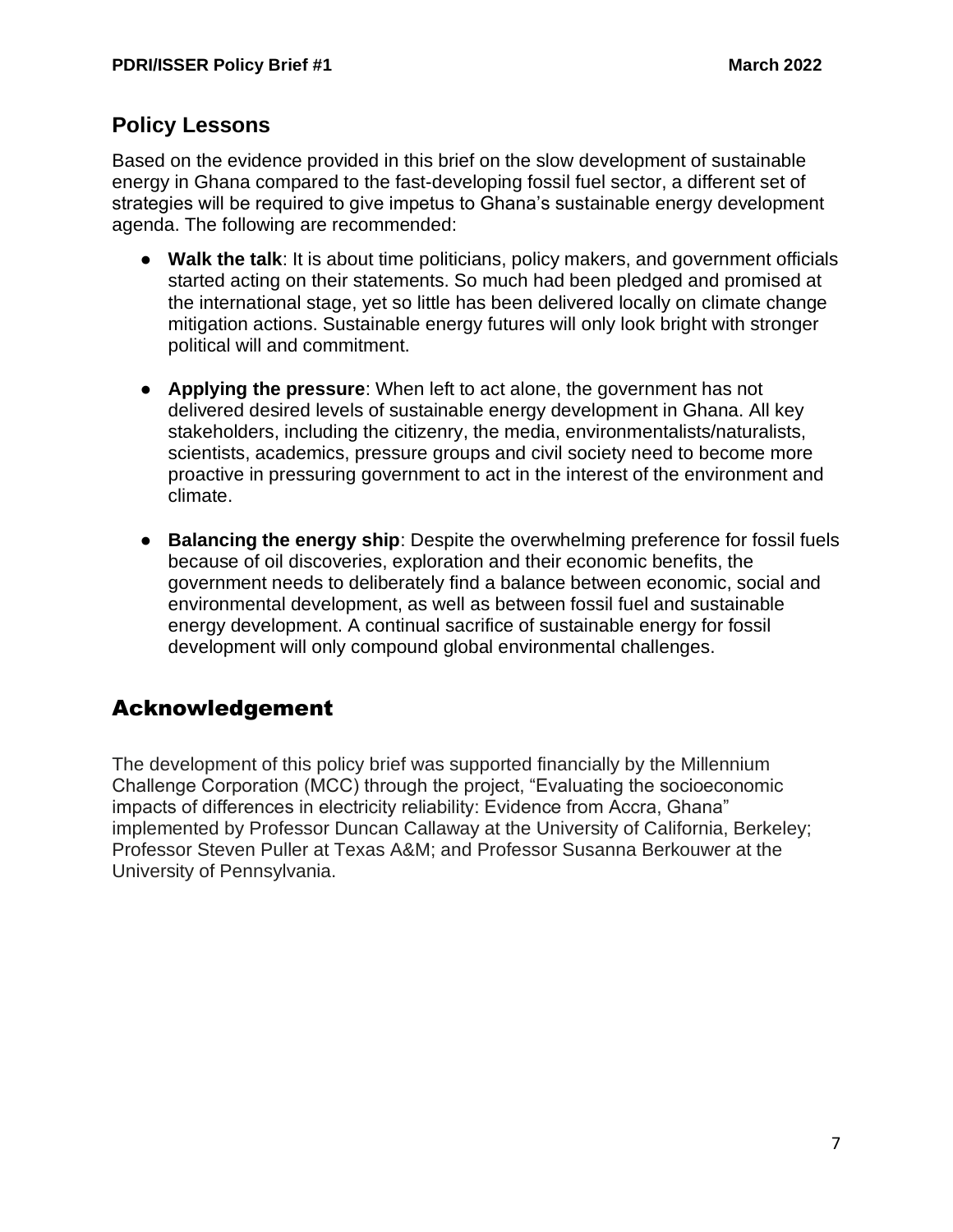# **Policy Lessons**

Based on the evidence provided in this brief on the slow development of sustainable energy in Ghana compared to the fast-developing fossil fuel sector, a different set of strategies will be required to give impetus to Ghana's sustainable energy development agenda. The following are recommended:

- **Walk the talk**: It is about time politicians, policy makers, and government officials started acting on their statements. So much had been pledged and promised at the international stage, yet so little has been delivered locally on climate change mitigation actions. Sustainable energy futures will only look bright with stronger political will and commitment.
- **Applying the pressure**: When left to act alone, the government has not delivered desired levels of sustainable energy development in Ghana. All key stakeholders, including the citizenry, the media, environmentalists/naturalists, scientists, academics, pressure groups and civil society need to become more proactive in pressuring government to act in the interest of the environment and climate.
- **Balancing the energy ship**: Despite the overwhelming preference for fossil fuels because of oil discoveries, exploration and their economic benefits, the government needs to deliberately find a balance between economic, social and environmental development, as well as between fossil fuel and sustainable energy development. A continual sacrifice of sustainable energy for fossil development will only compound global environmental challenges.

# Acknowledgement

The development of this policy brief was supported financially by the Millennium Challenge Corporation (MCC) through the project, "Evaluating the socioeconomic impacts of differences in electricity reliability: Evidence from Accra, Ghana" implemented by Professor Duncan Callaway at the University of California, Berkeley; Professor Steven Puller at Texas A&M; and Professor Susanna Berkouwer at the University of Pennsylvania.